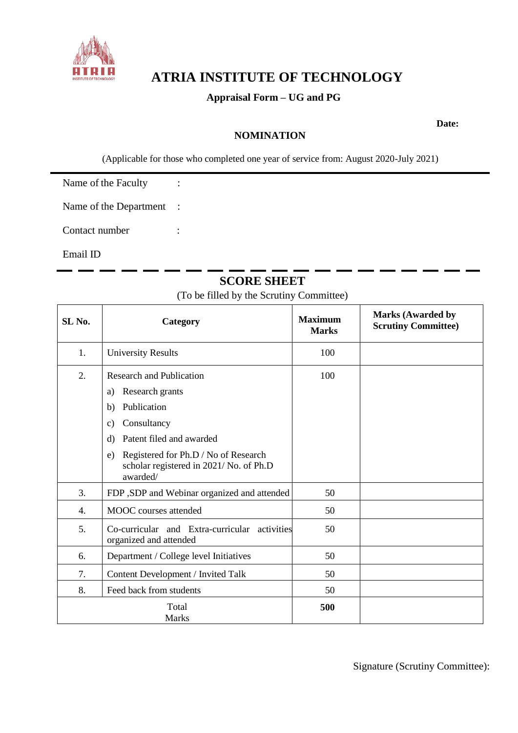

# **ATRIA INSTITUTE OF TECHNOLOGY**

## **Appraisal Form – UG and PG**

## **NOMINATION**

**Date:** 

(Applicable for those who completed one year of service from: August 2020-July 2021)

Name of the Faculty :

Name of the Department :

Contact number :

Email ID

# **SCORE SHEET**

(To be filled by the Scrutiny Committee)

| SL No.                | Category                                                                                                                                                                                                                                 | <b>Maximum</b><br><b>Marks</b> | <b>Marks (Awarded by</b><br><b>Scrutiny Committee)</b> |
|-----------------------|------------------------------------------------------------------------------------------------------------------------------------------------------------------------------------------------------------------------------------------|--------------------------------|--------------------------------------------------------|
| 1.                    | <b>University Results</b>                                                                                                                                                                                                                | 100                            |                                                        |
| 2.                    | <b>Research and Publication</b><br>Research grants<br>a)<br>Publication<br>b)<br>Consultancy<br>C)<br>Patent filed and awarded<br>d)<br>Registered for Ph.D / No of Research<br>e)<br>scholar registered in 2021/No. of Ph.D<br>awarded/ | 100                            |                                                        |
| 3.                    | FDP , SDP and Webinar organized and attended                                                                                                                                                                                             | 50                             |                                                        |
| 4.                    | MOOC courses attended                                                                                                                                                                                                                    | 50                             |                                                        |
| 5.                    | Co-curricular and Extra-curricular activities<br>organized and attended                                                                                                                                                                  | 50                             |                                                        |
| 6.                    | Department / College level Initiatives                                                                                                                                                                                                   | 50                             |                                                        |
| 7.                    | Content Development / Invited Talk                                                                                                                                                                                                       | 50                             |                                                        |
| 8.                    | Feed back from students                                                                                                                                                                                                                  | 50                             |                                                        |
| Total<br><b>Marks</b> |                                                                                                                                                                                                                                          | 500                            |                                                        |

Signature (Scrutiny Committee):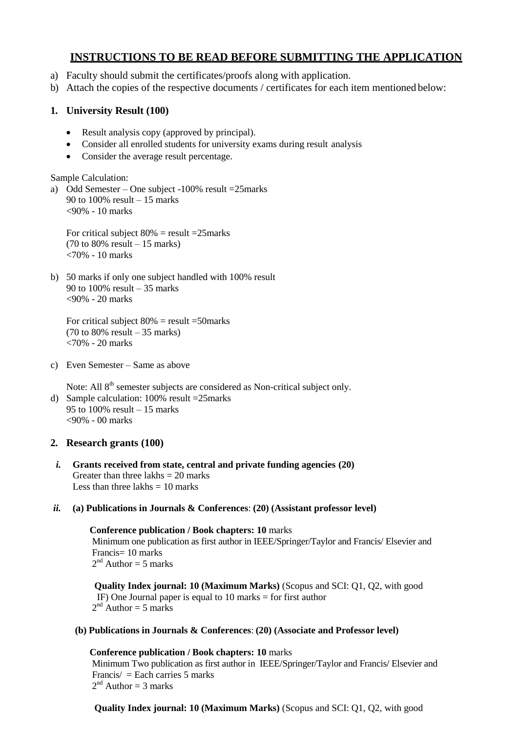# **INSTRUCTIONS TO BE READ BEFORE SUBMITTING THE APPLICATION**

- a) Faculty should submit the certificates/proofs along with application.
- b) Attach the copies of the respective documents / certificates for each item mentioned below:

## **1. University Result (100)**

- Result analysis copy (approved by principal).
- Consider all enrolled students for university exams during result analysis
- Consider the average result percentage.

Sample Calculation:

a) Odd Semester – One subject -100% result =25marks 90 to 100% result – 15 marks <90% - 10 marks

For critical subject  $80\%$  = result =25marks (70 to 80% result – 15 marks) <70% - 10 marks

b) 50 marks if only one subject handled with 100% result 90 to 100% result – 35 marks <90% - 20 marks

For critical subject  $80\%$  = result =50marks (70 to 80% result – 35 marks) <70% - 20 marks

c) Even Semester – Same as above

Note: All 8<sup>th</sup> semester subjects are considered as Non-critical subject only. d) Sample calculation: 100% result =25marks 95 to 100% result – 15 marks <90% - 00 marks

## **2. Research grants (100)**

*i.* **Grants received from state, central and private funding agencies (20)** Greater than three lakhs  $= 20$  marks Less than three lakhs  $= 10$  marks

## *ii.* **(a) Publications in Journals & Conferences**: **(20) (Assistant professor level)**

**Conference publication / Book chapters: 10** marks Minimum one publication as first author in IEEE/Springer/Taylor and Francis/ Elsevier and Francis= 10 marks  $2<sup>nd</sup>$  Author = 5 marks

**Quality Index journal: 10 (Maximum Marks)** (Scopus and SCI: Q1, Q2, with good IF) One Journal paper is equal to 10 marks = for first author  $2<sup>nd</sup>$  Author = 5 marks

## **(b) Publications in Journals & Conferences**: **(20) (Associate and Professor level)**

**Conference publication / Book chapters: 10** marks Minimum Two publication as first author in IEEE/Springer/Taylor and Francis/ Elsevier and Francis/ = Each carries 5 marks  $2<sup>nd</sup>$  Author = 3 marks

**Quality Index journal: 10 (Maximum Marks)** (Scopus and SCI: Q1, Q2, with good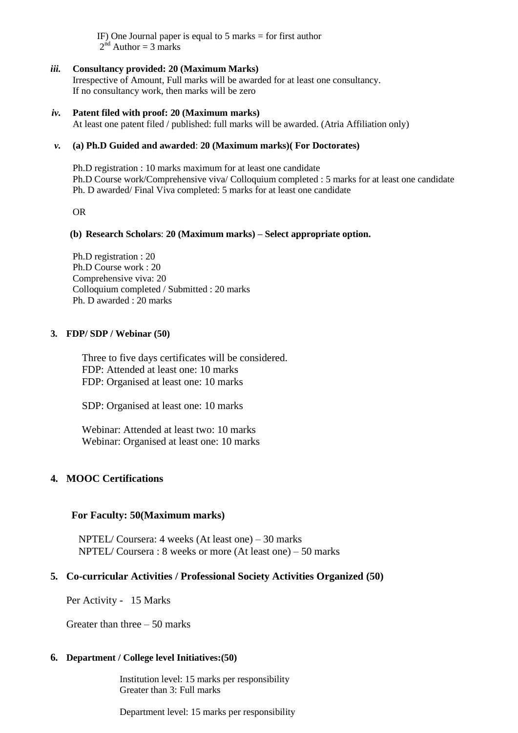IF) One Journal paper is equal to  $5$  marks  $=$  for first author  $2<sup>nd</sup>$  Author = 3 marks

#### *iii.* **Consultancy provided: 20 (Maximum Marks)**

Irrespective of Amount, Full marks will be awarded for at least one consultancy. If no consultancy work, then marks will be zero

#### *iv.* **Patent filed with proof: 20 (Maximum marks)**

At least one patent filed / published: full marks will be awarded. (Atria Affiliation only)

#### *v.* **(a) Ph.D Guided and awarded**: **20 (Maximum marks)( For Doctorates)**

Ph.D registration : 10 marks maximum for at least one candidate Ph.D Course work/Comprehensive viva/ Colloquium completed : 5 marks for at least one candidate Ph. D awarded/ Final Viva completed: 5 marks for at least one candidate

OR

#### **(b) Research Scholars**: **20 (Maximum marks) – Select appropriate option.**

Ph.D registration : 20 Ph.D Course work : 20 Comprehensive viva: 20 Colloquium completed / Submitted : 20 marks Ph. D awarded : 20 marks

#### **3. FDP/ SDP / Webinar (50)**

Three to five days certificates will be considered. FDP: Attended at least one: 10 marks FDP: Organised at least one: 10 marks

SDP: Organised at least one: 10 marks

Webinar: Attended at least two: 10 marks Webinar: Organised at least one: 10 marks

## **4. MOOC Certifications**

#### **For Faculty: 50(Maximum marks)**

NPTEL/ Coursera: 4 weeks (At least one) – 30 marks NPTEL/ Coursera : 8 weeks or more (At least one) – 50 marks

## **5. Co-curricular Activities / Professional Society Activities Organized (50)**

Per Activity - 15 Marks

Greater than three – 50 marks

#### **6. Department / College level Initiatives:(50)**

Institution level: 15 marks per responsibility Greater than 3: Full marks

Department level: 15 marks per responsibility